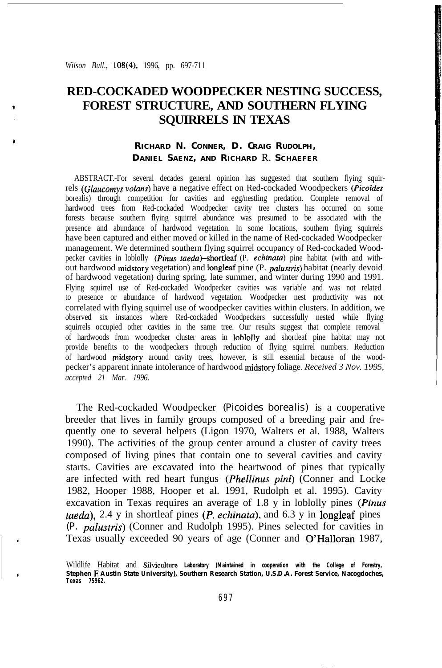# **RED-COCKADED WOODPECKER NESTING SUCCESS, FOREST STRUCTURE, AND SOUTHERN FLYING SQUIRRELS IN TEXAS**

## **RICHARD N. CONNER, D. CRAIG RUDOLPH, DANIEL SAENZ, AND RICHARD** R. **SCHAEFER**

ABSTRACT.-For several decades general opinion has suggested that southern flying squirrels (Glaucomys volans) have a negative effect on Red-cockaded Woodpeckers (Picoides borealis) through competition for cavities and egg/nestling predation. Complete removal of hardwood trees from Red-cockaded Woodpecker cavity tree clusters has occurred on some forests because southern flying squirrel abundance was presumed to be associated with the presence and abundance of hardwood vegetation. In some locations, southern flying squirrels have been captured and either moved or killed in the name of Red-cockaded Woodpecker management. We determined southern flying squirrel occupancy of Red-cockaded Woodpecker cavities in loblolly (Pinus taeda)-shortleaf (P. echinata) pine habitat (with and without hardwood midstory vegetation) and longleaf pine (P. *pulustris)* habitat (nearly devoid of hardwood vegetation) during spring, late summer, and winter during 1990 and 1991. Flying squirrel use of Red-cockaded Woodpecker cavities was variable and was not related to presence or abundance of hardwood vegetation. Woodpecker nest productivity was not correlated with flying squirrel use of woodpecker cavities within clusters. In addition, we observed six instances where Red-cockaded Woodpeckers successfully nested while flying squirrels occupied other cavities in the same tree. Our results suggest that complete removal of hardwoods from woodpecker cluster areas in loblolly and shortleaf pine habitat may not provide benefits to the woodpeckers through reduction of flying squirrel numbers. Reduction of hardwood midstory around cavity trees, however, is still essential because of the woodpecker's apparent innate intolerance of hardwood midstory foliage. *Received 3 Nov. 1995, accepted 21 Mar. 1996.*

The Red-cockaded Woodpecker *(Picoides borealis)* is a cooperative breeder that lives in family groups composed of a breeding pair and frequently one to several helpers (Ligon 1970, Walters et al. 1988, Walters 1990). The activities of the group center around a cluster of cavity trees composed of living pines that contain one to several cavities and cavity starts. Cavities are excavated into the heartwood of pines that typically are infected with red heart fungus *(Phellinus pini)* (Conner and Locke 1982, Hooper 1988, Hooper et al. 1991, Rudolph et al. 1995). Cavity excavation in Texas requires an average of 1.8 y in loblolly pines *(Pinus taeda),* 2.4 y in shortleaf pines *(P. echinatu),* and 6.3 y in longleaf pines *(P. palustris)* (Conner and Rudolph 1995). Pines selected for cavities in Texas usually exceeded 90 years of age (Conner and O'Halloran 1987,

Wildlife Habitat and Silviculture **Laboratory (Maintained in cooperation with the College of Forestry, Stephen E Austin State University), Southern Research Station, U.S.D.A. Forest Service, Nacogdoches, Texas 75962.**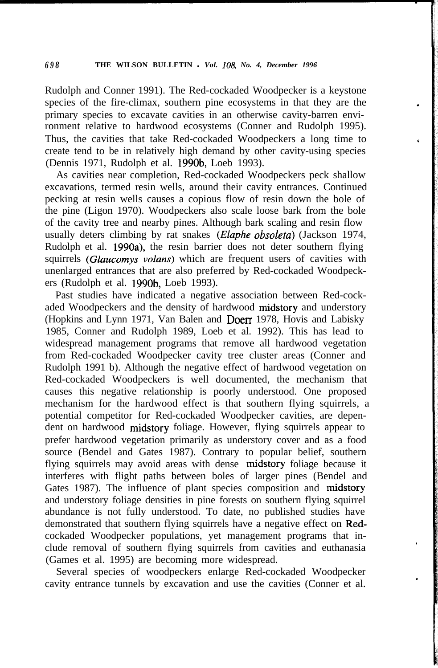Rudolph and Conner 1991). The Red-cockaded Woodpecker is a keystone species of the fire-climax, southern pine ecosystems in that they are the primary species to excavate cavities in an otherwise cavity-barren environment relative to hardwood ecosystems (Conner and Rudolph 1995). Thus, the cavities that take Red-cockaded Woodpeckers a long time to create tend to be in relatively high demand by other cavity-using species (Dennis 1971, Rudolph et al. 1990b, Loeb 1993).

As cavities near completion, Red-cockaded Woodpeckers peck shallow excavations, termed resin wells, around their cavity entrances. Continued pecking at resin wells causes a copious flow of resin down the bole of the pine (Ligon 1970). Woodpeckers also scale loose bark from the bole of the cavity tree and nearby pines. Although bark scaling and resin flow usually deters climbing by rat snakes *(Eluphe obsoletu)* (Jackson 1974, Rudolph et al. 1990a), the resin barrier does not deter southern flying squirrels (Glaucomys volans) which are frequent users of cavities with unenlarged entrances that are also preferred by Red-cockaded Woodpeckers (Rudolph et al. 1990b, Loeb 1993).

Past studies have indicated a negative association between Red-cockaded Woodpeckers and the density of hardwood midstory and understory (Hopkins and Lynn 1971, Van Balen and Doerr 1978, Hovis and Labisky 1985, Conner and Rudolph 1989, Loeb et al. 1992). This has lead to widespread management programs that remove all hardwood vegetation from Red-cockaded Woodpecker cavity tree cluster areas (Conner and Rudolph 1991 b). Although the negative effect of hardwood vegetation on Red-cockaded Woodpeckers is well documented, the mechanism that causes this negative relationship is poorly understood. One proposed mechanism for the hardwood effect is that southern flying squirrels, a potential competitor for Red-cockaded Woodpecker cavities, are dependent on hardwood midstory foliage. However, flying squirrels appear to prefer hardwood vegetation primarily as understory cover and as a food source (Bendel and Gates 1987). Contrary to popular belief, southern flying squirrels may avoid areas with dense midstory foliage because it interferes with flight paths between boles of larger pines (Bendel and Gates 1987). The influence of plant species composition and midstory and understory foliage densities in pine forests on southern flying squirrel abundance is not fully understood. To date, no published studies have demonstrated that southern flying squirrels have a negative effect on Redcockaded Woodpecker populations, yet management programs that include removal of southern flying squirrels from cavities and euthanasia (Games et al. 1995) are becoming more widespread.

Several species of woodpeckers enlarge Red-cockaded Woodpecker cavity entrance tunnels by excavation and use the cavities (Conner et al.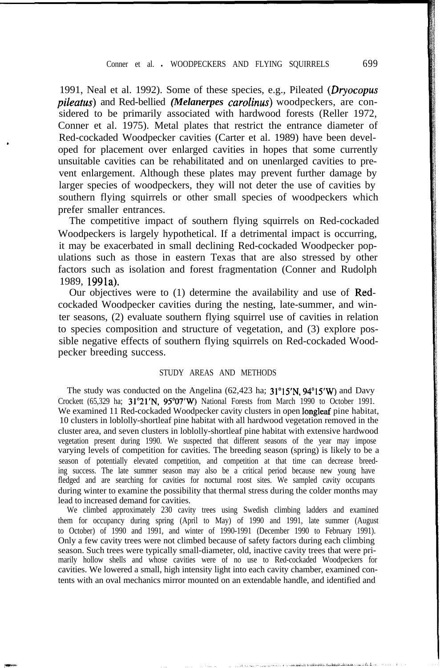### Conner et al. . WOODPECKERS AND FLYING SQUIRRELS 699

1991, Neal et al. 1992). Some of these species, e.g., Pileated (Dryocopus *pile&us)* and Red-bellied *(Melanerpes carolinus)* woodpeckers, are considered to be primarily associated with hardwood forests (Reller 1972, Conner et al. 1975). Metal plates that restrict the entrance diameter of Red-cockaded Woodpecker cavities (Carter et al. 1989) have been developed for placement over enlarged cavities in hopes that some currently unsuitable cavities can be rehabilitated and on unenlarged cavities to prevent enlargement. Although these plates may prevent further damage by larger species of woodpeckers, they will not deter the use of cavities by southern flying squirrels or other small species of woodpeckers which prefer smaller entrances.

The competitive impact of southern flying squirrels on Red-cockaded Woodpeckers is largely hypothetical. If a detrimental impact is occurring, it may be exacerbated in small declining Red-cockaded Woodpecker populations such as those in eastern Texas that are also stressed by other factors such as isolation and forest fragmentation (Conner and Rudolph 1989, 1991a).

Our objectives were to (1) determine the availability and use of Redcockaded Woodpecker cavities during the nesting, late-summer, and winter seasons, (2) evaluate southern flying squirrel use of cavities in relation to species composition and structure of vegetation, and (3) explore possible negative effects of southern flying squirrels on Red-cockaded Woodpecker breeding success.

### STUDY AREAS AND METHODS

The study was conducted on the Angelina (62,423 ha; 31°15'N, 94°15'W) and Davy Crockett (65,329 ha; 31"21'N, 95'07'W) National Forests from March 1990 to October 1991. We examined 11 Red-cockaded Woodpecker cavity clusters in open longleaf pine habitat, 10 clusters in loblolly-shortleaf pine habitat with all hardwood vegetation removed in the cluster area, and seven clusters in loblolly-shortleaf pine habitat with extensive hardwood vegetation present during 1990. We suspected that different seasons of the year may impose varying levels of competition for cavities. The breeding season (spring) is likely to be a season of potentially elevated competition, and competition at that time can decrease breeding success. The late summer season may also be a critical period because new young have fledged and are searching for cavities for nocturnal roost sites. We sampled cavity occupants during winter to examine the possibility that thermal stress during the colder months may lead to increased demand for cavities.

We climbed approximately 230 cavity trees using Swedish climbing ladders and examined them for occupancy during spring (April to May) of 1990 and 1991, late summer (August to October) of 1990 and 1991, and winter of 1990-1991 (December 1990 to February 1991). Only a few cavity trees were not climbed because of safety factors during each climbing season. Such trees were typically small-diameter, old, inactive cavity trees that were primarily hollow shells and whose cavities were of no use to Red-cockaded Woodpeckers for cavities. We lowered a small, high intensity light into each cavity chamber, examined contents with an oval mechanics mirror mounted on an extendable handle, and identified and

ولاية بالمقطعية بالأقسطاطين و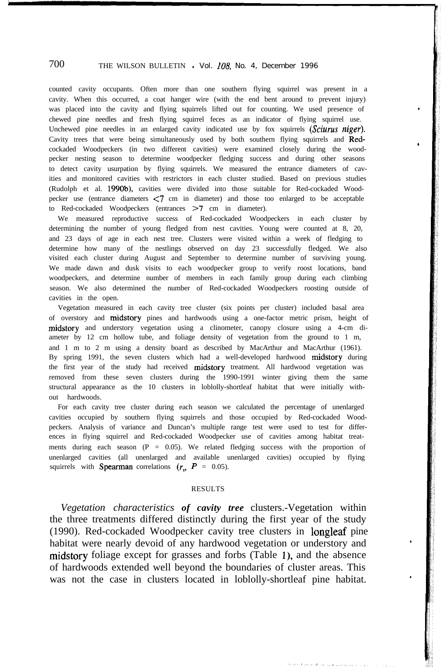counted cavity occupants. Often more than one southern flying squirrel was present in a cavity. When this occurred, a coat hanger wire (with the end bent around to prevent injury) was placed into the cavity and flying squirrels lifted out for counting. We used presence of chewed pine needles and fresh flying squirrel feces as an indicator of flying squirrel use. Unchewed pine needles in an enlarged cavity indicated use by fox squirrels  $(Sciurus\ nizer)$ . Cavity trees that were being simultaneously used by both southern flying squirrels and Redcockaded Woodpeckers (in two different cavities) were examined closely during the woodpecker nesting season to determine woodpecker fledging success and during other seasons to detect cavity usurpation by flying squirrels. We measured the entrance diameters of cavities and monitored cavities with restrictors in each cluster studied. Based on previous studies (Rudolph et al. 1990b), cavities were divided into those suitable for Red-cockaded Woodpecker use (entrance diameters  $\leq 7$  cm in diameter) and those too enlarged to be acceptable to Red-cockaded Woodpeckers (entrances >7 cm in diameter).

We measured reproductive success of Red-cockaded Woodpeckers in each cluster by determining the number of young fledged from nest cavities. Young were counted at 8, 20, and 23 days of age in each nest tree. Clusters were visited within a week of fledging to determine how many of the nestlings observed on day 23 successfully fledged. We also visited each cluster during August and September to determine number of surviving young. We made dawn and dusk visits to each woodpecker group to verify roost locations, band woodpeckers, and determine number of members in each family group during each climbing season. We also determined the number of Red-cockaded Woodpeckers roosting outside of cavities in the open.

Vegetation measured in each cavity tree cluster (six points per cluster) included basal area of overstory and midstory pines and hardwoods using a one-factor metric prism, height of midstory and understory vegetation using a clinometer, canopy closure using a 4-cm diameter by 12 cm hollow tube, and foliage density of vegetation from the ground to 1 m, and 1 m to 2 m using a density board as described by MacArthur and MacArthur (1961). By spring 1991, the seven clusters which had a well-developed hardwood midstory during the first year of the study had received midstory treatment. All hardwood vegetation was removed from these seven clusters during the 1990-1991 winter giving them the same structural appearance as the 10 clusters in loblolly-shortleaf habitat that were initially without hardwoods.

For each cavity tree cluster during each season we calculated the percentage of unenlarged cavities occupied by southern flying squirrels and those occupied by Red-cockaded Woodpeckers. Analysis of variance and Duncan's multiple range test were used to test for differences in flying squirrel and Red-cockaded Woodpecker use of cavities among habitat treatments during each season  $(P = 0.05)$ . We related fledging success with the proportion of unenlarged cavities (all unenlarged and available unenlarged cavities) occupied by flying squirrels with **Spearman** correlations  $(r_{\rm s}, P = 0.05)$ .

### RESULTS

*Vegetation characteristics of cavity tree* clusters.-Vegetation within the three treatments differed distinctly during the first year of the study (1990). Red-cockaded Woodpecker cavity tree clusters in longleaf pine habitat were nearly devoid of any hardwood vegetation or understory and midstory foliage except for grasses and forbs (Table l), and the absence of hardwoods extended well beyond the boundaries of cluster areas. This was not the case in clusters located in loblolly-shortleaf pine habitat.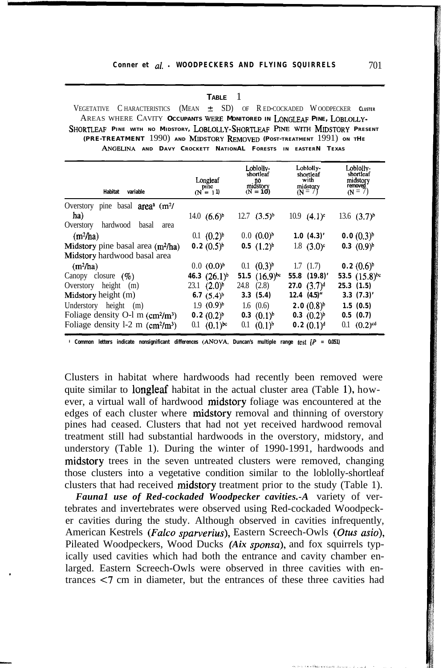### Conner et al. **WOODPECKERS AND FLYING SQUIRRELS** 701

### **TABLE** 1

VEGETATIVE CHARACTERISTICS (MEAN  $\pm$  SD) OF RED-COCKADED WOODPECKER CLUSTER AREAS WHERE CAVITY OCCUPANTS WERE MONITORED IN LONGLEAF PINE, LOBLOLLY-**SHORTLEAF PINE WITH NO MIDSTORY, LOBLOLLY-SHORTLEAF PINE WITH MIDSTORY PRESENT (PRE-TREATMENT** 1990) **AND MIDSTORY F&MOVED (POST-TREATMENT** 1991) **ON TH<sup>E</sup> ANGELINA AND DAVY CROCKETT NATIONAL FORESTS IN EASTERN TEXAS**

| <b>Habitat</b><br>variable                                                                            | Longleaf<br>pine<br>$(N = 11)$ | Loblolly-<br>shortleaf<br>no<br>midstory<br>$(N = 10)$ | Loblolly-<br>shortleaf<br>with<br>midstory<br>$(N = 7)$ | Loblolly-<br>shortleaf<br>midstory<br>removed<br>$(N = 7)$ |
|-------------------------------------------------------------------------------------------------------|--------------------------------|--------------------------------------------------------|---------------------------------------------------------|------------------------------------------------------------|
| basal $areaa$ (m <sup>2</sup> /<br>Overstory<br>pine<br>ha)<br>hardwood<br>Overstory<br>basal<br>area | 14.0 $(6.6)^{b}$               | $12.7$ $(3.5)^{b}$                                     | 10.9 $(4.1)$ <sup>c</sup>                               | 13.6 $(3.7)^{b}$                                           |
| $(m^2/ha)$                                                                                            | $0.1$ $(0.2)^{b}$              | $0.0(0.0)^{b}$                                         | 1.0(4.3)'                                               | $0.0(0.3)^{b}$                                             |
| Midstory pine basal area $(m^2/ha)$                                                                   | $0.2 (0.5)^{b}$                | 0.5 $(1.2)^{b}$                                        | 1.8 $(3.0)^c$                                           | $0.3 \ (0.9)^b$                                            |
| Midstory hardwood basal area                                                                          |                                |                                                        |                                                         |                                                            |
| $(m^2/ha)$                                                                                            | $0.0(0.0)^{b}$                 | $0.1 \quad (0.3)^{b}$                                  | 1.7(1.7)                                                | $0.2(0.6)^{b}$                                             |
| Canopy closure $(\% )$                                                                                | 46.3 $(26.1)^{b}$              | 51.5 $(16.9)^{bc}$                                     | $55.8$ $(19.8)'$                                        | 53.5 $(15.8)^{bc}$                                         |
| Overstory height (m)                                                                                  | $23.1$ $(2.0)^{b}$             | (2.8)<br>24.8                                          | 27.0 $(3.7)^d$                                          | 25.3(1.5)                                                  |
| Midstory height (m)                                                                                   | 6.7 $(5.4)^b$                  | 3.3(5.4)                                               | $12.4$ $(4.5)$ "                                        | $3.3$ $(7.3)'$                                             |
| height<br>Understory<br>(m)                                                                           | $1.9(0.9)^{b}$                 | $1.6 \quad (0.6)$                                      | $2.0(0.8)^{b}$                                          | 1.5(0.5)                                                   |
| Foliage density $O1$ m (cm <sup>2</sup> /m <sup>3</sup> )                                             | $0.2 (0.2)^{b}$                | 0.3 $(0.1)^b$                                          | $0.3$ $(0.2)^{b}$                                       | 0.5(0.7)                                                   |
| Foliage density $l-2$ m (cm <sup>2</sup> /m <sup>3</sup> )                                            | 0.1 $(0.1)^{bc}$               | $(0.1)^{b}$<br>0.1                                     | $0.2 (0.1)^d$                                           | $(0.2)$ <sup>cd</sup><br>0.1                               |

**s Common letters indicate nonsignificant differences (ANOVA, Duncan's multiple range test [f = 0.051)**

Clusters in habitat where hardwoods had recently been removed were quite similar to **longleaf** habitat in the actual cluster area (Table 1), however, a virtual wall of hardwood midstory foliage was encountered at the edges of each cluster where midstory removal and thinning of overstory pines had ceased. Clusters that had not yet received hardwood removal treatment still had substantial hardwoods in the overstory, midstory, and understory (Table 1). During the winter of 1990-1991, hardwoods and midstory trees in the seven untreated clusters were removed, changing those clusters into a vegetative condition similar to the loblolly-shortleaf clusters that had received midstory treatment prior to the study (Table 1).

*Fauna1 use of Red-cockaded Woodpecker cavities.-A* variety of vertebrates and invertebrates were observed using Red-cockaded Woodpecker cavities during the study. Although observed in cavities infrequently, American Kestrels *(Falco sparverius)*, Eastern Screech-Owls *(Otus asio)*, Pileated Woodpeckers, Wood Ducks *(Aix sponsa),* and fox squirrels typically used cavities which had both the entrance and cavity chamber enlarged. Eastern Screech-Owls were observed in three cavities with entrances <7 cm in diameter, but the entrances of these three cavities had

--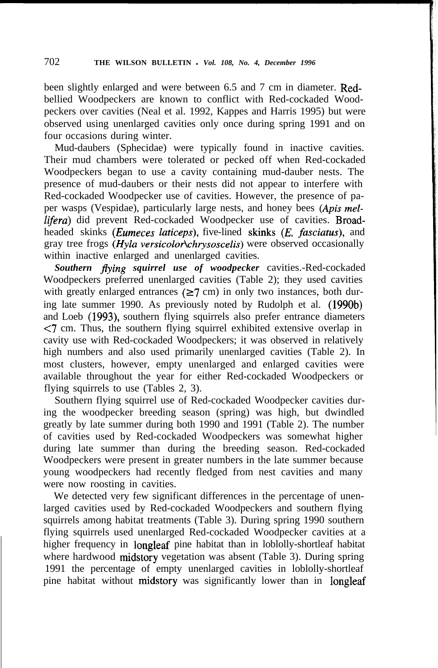been slightly enlarged and were between 6.5 and 7 cm in diameter. Redbellied Woodpeckers are known to conflict with Red-cockaded Woodpeckers over cavities (Neal et al. 1992, Kappes and Harris 1995) but were observed using unenlarged cavities only once during spring 1991 and on four occasions during winter.

Mud-daubers (Sphecidae) were typically found in inactive cavities. Their mud chambers were tolerated or pecked off when Red-cockaded Woodpeckers began to use a cavity containing mud-dauber nests. The presence of mud-daubers or their nests did not appear to interfere with Red-cockaded Woodpecker use of cavities. However, the presence of paper wasps (Vespidae), particularly large nests, and honey bees *(Apis mel*lifera) did prevent Red-cockaded Woodpecker use of cavities. Broadheaded skinks *(Eumeces laticeps)*, five-lined skinks *(E. fasciatus)*, and gray tree frogs  $(Hyla versionochrysoscelis)$  were observed occasionally within inactive enlarged and unenlarged cavities.

*Southern flying squirrel use of woodpecker* cavities.-Red-cockaded Woodpeckers preferred unenlarged cavities (Table 2); they used cavities with greatly enlarged entrances  $(\geq 7 \text{ cm})$  in only two instances, both during late summer 1990. As previously noted by Rudolph et al. (1990b) and Loeb (1993), southern flying squirrels also prefer entrance diameters <7 cm. Thus, the southern flying squirrel exhibited extensive overlap in cavity use with Red-cockaded Woodpeckers; it was observed in relatively high numbers and also used primarily unenlarged cavities (Table 2). In most clusters, however, empty unenlarged and enlarged cavities were available throughout the year for either Red-cockaded Woodpeckers or flying squirrels to use (Tables 2, 3).

Southern flying squirrel use of Red-cockaded Woodpecker cavities during the woodpecker breeding season (spring) was high, but dwindled greatly by late summer during both 1990 and 1991 (Table 2). The number of cavities used by Red-cockaded Woodpeckers was somewhat higher during late summer than during the breeding season. Red-cockaded Woodpeckers were present in greater numbers in the late summer because young woodpeckers had recently fledged from nest cavities and many were now roosting in cavities.

We detected very few significant differences in the percentage of unenlarged cavities used by Red-cockaded Woodpeckers and southern flying squirrels among habitat treatments (Table 3). During spring 1990 southern flying squirrels used unenlarged Red-cockaded Woodpecker cavities at a higher frequency in longleaf pine habitat than in loblolly-shortleaf habitat where hardwood midstory vegetation was absent (Table 3). During spring 1991 the percentage of empty unenlarged cavities in loblolly-shortleaf pine habitat without midstory was significantly lower than in longleaf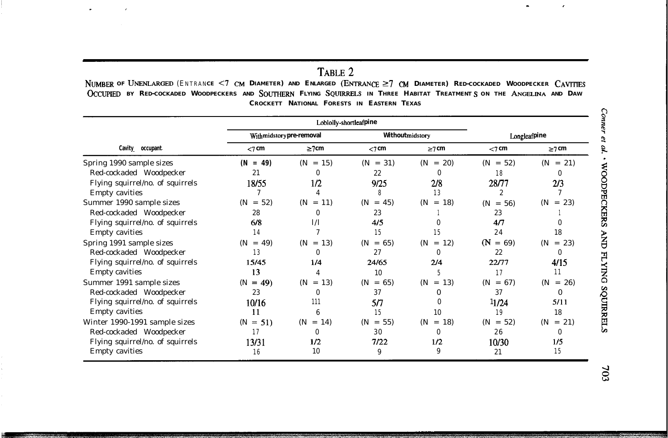## TABLE 2

NUMBER OF UNENLARGED (ENTRANCE <7 CM DIAMETER) AND ENLARGED (ENTRANCE  $\geq$ 7 CM DIAMETER) RED-COCKADED WOODPECKER CAVITIES OCCUPIED BY RED-COCKADED WOODPECKERS AND SOUTHERN FLYING SQUIRRELS IN THREE HABITAT TREATMENTS ON THE ANGELINA AND DAW **CROCKETT NATIONAL FORESTS IN EASTERN TEXAS**

|                                  |              |                           | Loblolly-shortleafpine      |                                 |                             |                                       |  |
|----------------------------------|--------------|---------------------------|-----------------------------|---------------------------------|-----------------------------|---------------------------------------|--|
|                                  |              | With midstory pre-removal |                             | Withoutmidstory                 | Longleafpine                |                                       |  |
| Cavity occupant                  | $<$ 7 cm     | $\geq$ 7 cm               | $<$ 7 cm                    | $\geq$ 7 cm                     | $<$ 7 cm                    | $\geq$ 7 cm                           |  |
| Spring 1990 sample sizes         | $(N = 49)$   | $= 15$<br>(N              | $= 31$<br>(N <sup>2</sup> ) | 20)<br>(N <sup>2</sup> )<br>$=$ | $= 52$<br>(N <sup>2</sup> ) | $= 21$<br>(N <sup>2</sup> )           |  |
| Red-cockaded Woodpecker          | 21           |                           | 22                          | 0                               | 18                          | $\bf{0}$                              |  |
| Flying squirrel/no. of squirrels | 18/55        | 1/2                       | 9/25                        | 2/8                             | 28/77                       | 2/3                                   |  |
| <b>Empty cavities</b>            |              |                           | 8                           | 13                              | $\overline{2}$              |                                       |  |
| Summer 1990 sample sizes         | $= 52$<br>(N | $= 11$<br>(N              | $= 45$<br>(N                | 18)<br>(N<br>$=$                | $= 56$<br>(N <sup>2</sup> ) | (N <sup>2</sup> )<br>23)<br>$\, = \,$ |  |
| Red-cockaded Woodpecker          | 28           |                           | 23                          |                                 | 23                          |                                       |  |
| Flying squirrel/no. of squirrels | 6/8          | 1/1                       | 4/5                         | 0                               | 4/7                         |                                       |  |
| <b>Empty cavities</b>            | 14           |                           | 15                          | 15                              | 24                          | 18                                    |  |
| Spring 1991 sample sizes         | $= 49$<br>(N | $= 13$<br>(N              | $= 65$<br>(N                | 12)<br>(N<br>$=$                | $\mathbf{\Omega}$<br>$= 69$ | $= 23$<br>(N <sup>2</sup> )           |  |
| Red-cockaded Woodpecker          | 13           |                           | 27                          | $\Omega$                        | 22                          |                                       |  |
| Flying squirrel/no. of squirrels | 15/45        | 1/4                       | 24/65                       | 2/4                             | 22/77                       | 4/15                                  |  |
| <b>Empty cavities</b>            | 13           |                           | 10                          |                                 | 17                          | 11                                    |  |
| Summer 1991 sample sizes         | $= 49$<br>(N | $= 13$<br>(N              | $= 65$<br>(N                | $= 13$<br>(N <sup>2</sup> )     | $= 67$<br>(N                | $= 26$<br>(N                          |  |
| Red-cockaded Woodpecker          | 23           |                           | 37                          | 0                               | 37                          | 0                                     |  |
| Flying squirrel/no. of squirrels | 10/16        | 111                       | 517                         |                                 | 11/24                       | 5/11                                  |  |
| <b>Empty cavities</b>            | 11           |                           | 15                          | 10                              | 19                          | 18                                    |  |
| Winter 1990-1991 sample sizes    | $= 51$<br>(N | $(N = 14)$                | $= 55$<br>(N                | 18)<br>(N<br>$=$                | $= 52$<br>(N                | $= 21$<br>(N <sup>2</sup> )           |  |
| Red-cockaded Woodpecker          | 17           | 0                         | 30                          | 0                               | 26                          | 0                                     |  |
| Flying squirrel/no. of squirrels | 13/31        | 1/2                       | 7/22                        | 1/2                             | 10/30                       | 1/5                                   |  |
| <b>Empty cavities</b>            | 16           | 10                        | 9                           | 9                               | 21                          | 15                                    |  |

703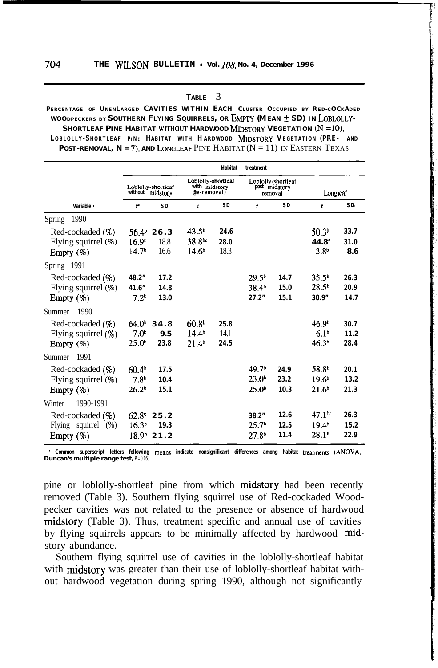**TABLE** 3

### PERCENTAGE OF UNENLARGED CAVITIES WITHIN EACH CLUSTER OCCUPIED BY RED-COCKADED **WOODPECKERS BY SOUTHERN FLYING SQUIRRELS, OR E~pry (M EAN +- SD) IN LOBLOLLY-SHORTLEAF PINE HABITAT WITHOUT HARDWOOD MIDSTORY VEGETATION (N = lo), L OBLOLLY - S HORTLEAF <sup>P</sup><sup>I</sup> <sup>N</sup> <sup>E</sup> HABITAT WITH H ARDWOOD MIDSTORY V EGETATION (PRE- AND POST-REMOVAL,**  $N = 7$ **), AND LONGLEAF PINE HABITAT**  $(N = 11)$  **IN EASTERN TEXAS**

|                                                                 |                                                             |                      |                                                              | <b>Habitat</b>       | treatment                                                   |                      |                                                              |                      |
|-----------------------------------------------------------------|-------------------------------------------------------------|----------------------|--------------------------------------------------------------|----------------------|-------------------------------------------------------------|----------------------|--------------------------------------------------------------|----------------------|
|                                                                 | Loblolly-shortleaf<br>without midstory                      |                      | Loblolly-shortleaf<br>with midstory<br>@e-removal)           |                      | Loblolly-shortleaf<br>post midstory<br>removal              |                      | Longleaf                                                     |                      |
| Variable :                                                      | $\mathbf{r}$                                                | SD.                  | ž                                                            | <b>SD</b>            | Î                                                           | <b>SD</b>            | ř                                                            | SD <sub>i</sub>      |
| 1990<br><b>Spring</b>                                           |                                                             |                      |                                                              |                      |                                                             |                      |                                                              |                      |
| Red-cockaded (%)<br>Flying squirrel (%)<br>Empty $(\%)$         | 56.4 <sup>b</sup><br>16.9 <sup>b</sup><br>14.7 <sup>b</sup> | 26.3<br>18.8<br>16.6 | 43.5 <sup>b</sup><br>38.8 <sup>bc</sup><br>14.6 <sup>b</sup> | 24.6<br>28.0<br>18.3 |                                                             |                      | 50.3 <sup>b</sup><br>44.8'<br>3.8 <sup>b</sup>               | 33.7<br>31.0<br>8.6  |
| Spring 1991                                                     |                                                             |                      |                                                              |                      |                                                             |                      |                                                              |                      |
| Red-cockaded $(\% )$<br>Flying squirrel $(\%)$<br>Empty $(\%)$  | 48.2"<br>41.6"<br>7.2 <sup>b</sup>                          | 17.2<br>14.8<br>13.0 |                                                              |                      | 29.5 <sup>b</sup><br>38.4 <sup>b</sup><br>27.2"             | 14.7<br>15.0<br>15.1 | 35.5 <sup>b</sup><br>28.5 <sup>b</sup><br>30.9"              | 26.3<br>20.9<br>14.7 |
| 1990<br>Summer                                                  |                                                             |                      |                                                              |                      |                                                             |                      |                                                              |                      |
| Red-cockaded $(\% )$<br>Flying squirrel $(\% )$<br>Empty $(\%)$ | $64.0^{\circ}$<br>7.0 <sup>b</sup><br>$25.0^{\circ}$        | 34.8<br>9.5<br>23.8  | 60.8 <sup>b</sup><br>$14.4^{b}$<br>21.4 <sup>b</sup>         | 25.8<br>14.1<br>24.5 |                                                             |                      | 46.9 <sup>b</sup><br>6.1 <sup>b</sup><br>46.3 <sup>b</sup>   | 30.7<br>11.2<br>28.4 |
| 1991<br>Summer                                                  |                                                             |                      |                                                              |                      |                                                             |                      |                                                              |                      |
| Red-cockaded $(\%)$<br>Flying squirrel $(\%)$<br>Empty $(\%)$   | 60.4 <sup>b</sup><br>7.8 <sup>b</sup><br>26.2 <sup>b</sup>  | 17.5<br>10.4<br>15.1 |                                                              |                      | 49.7 <sup>b</sup><br>23.0 <sup>b</sup><br>25.0 <sup>b</sup> | 24.9<br>23.2<br>10.3 | 58.8 <sup>b</sup><br>19.6 <sup>b</sup><br>21.6 <sup>b</sup>  | 20.1<br>13.2<br>21.3 |
| 1990-1991<br>Winter                                             |                                                             |                      |                                                              |                      |                                                             |                      |                                                              |                      |
| Red-cockaded (%)<br>squirrel<br>Flying<br>(% )<br>Empty $(\%)$  | $62.8^{\circ}$<br>16.3 <sup>b</sup><br>18.9 <sup>b</sup>    | 25.2<br>19.3<br>21.2 |                                                              |                      | 38.2"<br>25.7 <sup>b</sup><br>27.8 <sup>b</sup>             | 12.6<br>12.5<br>11.4 | 47.1 <sup>bc</sup><br>19.4 <sup>b</sup><br>28.1 <sup>b</sup> | 26.3<br>15.2<br>22.9 |

**B** Common superscript letters following means indicate nonsignificant differences among habitat treatments (ANOVA, **Duncan's multiple range test,** *P = 0.05).*

pine or loblolly-shortleaf pine from which midstory had been recently removed (Table 3). Southern flying squirrel use of Red-cockaded Woodpecker cavities was not related to the presence or absence of hardwood midstory (Table 3). Thus, treatment specific and annual use of cavities by flying squirrels appears to be minimally affected by hardwood midstory abundance.

Southern flying squirrel use of cavities in the loblolly-shortleaf habitat with midstory was greater than their use of loblolly-shortleaf habitat without hardwood vegetation during spring 1990, although not significantly

704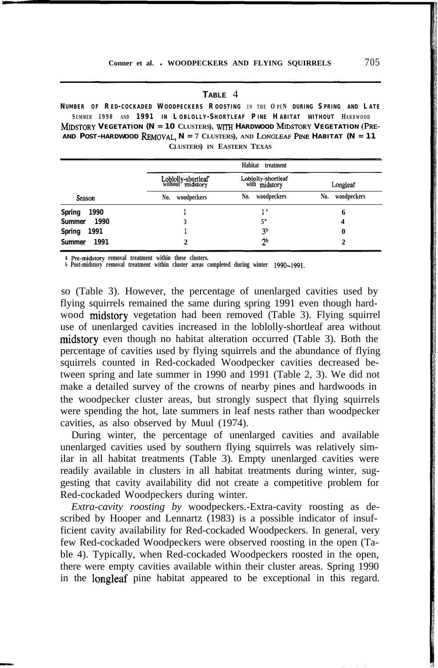| ABLE<br>Τ. |  |
|------------|--|
|------------|--|

**N UMBER OF R E D- COCKADED W OODPECKERS R OOSTING I N THE O P E N DURING S PRING AND L ATE S UMMER 1990 AND 1991 I N L OBLOLLY - S HORTLEAF P INE H ABITAT WITHOUT HARDWOOD MIDSTORY VEGETATION (N = 10 CLUSTERS), WITH HARDWOOD MIDSTORY VEGETATION (PRE-AND POST-HARDWOOD REMOVAL, N = 7 CLUSTERS), AND LONGLEAF Pm HABITAT (N = 11 CLUSTERS) IN EASTERN TEXAS**

|                       |                                        | Habitat treatment                   |                    |
|-----------------------|----------------------------------------|-------------------------------------|--------------------|
|                       | Loblolly-shortleaf<br>without midstory | Loblolly-shortleaf<br>with midstory | Longleaf           |
| Season                | woodpeckers<br>No.                     | woodpeckers<br>No.                  | woodpeckers<br>No. |
| <b>Spring</b><br>1990 |                                        |                                     | 6                  |
| <b>Summer</b><br>1990 |                                        | 5"                                  | 4                  |
| <b>Spring</b><br>1991 |                                        | 3 <sup>b</sup>                      | 0                  |
| 1991<br><b>Summer</b> |                                        | ንኮ                                  |                    |

**\*** Pre-midstory removal treatment within these clusters.

--\_

**b Post-midstory removal treatment within cluster areas completed during winter 1990-1991.**

so (Table 3). However, the percentage of unenlarged cavities used by flying squirrels remained the same during spring 1991 even though hardwood midstory vegetation had been removed (Table 3). Flying squirrel use of unenlarged cavities increased in the loblolly-shortleaf area without midstory even though no habitat alteration occurred (Table 3). Both the percentage of cavities used by flying squirrels and the abundance of flying squirrels counted in Red-cockaded Woodpecker cavities decreased between spring and late summer in 1990 and 1991 (Table 2, 3). We did not make a detailed survey of the crowns of nearby pines and hardwoods in the woodpecker cluster areas, but strongly suspect that flying squirrels were spending the hot, late summers in leaf nests rather than woodpecker cavities, as also observed by Muul (1974).

During winter, the percentage of unenlarged cavities and available unenlarged cavities used by southern flying squirrels was relatively similar in all habitat treatments (Table 3). Empty unenlarged cavities were readily available in clusters in all habitat treatments during winter, suggesting that cavity availability did not create a competitive problem for Red-cockaded Woodpeckers during winter.

*Extra-cavity roosting by* woodpeckers.-Extra-cavity roosting as described by Hooper and Lennartz (1983) is a possible indicator of insufficient cavity availability for Red-cockaded Woodpeckers. In general, very few Red-cockaded Woodpeckers were observed roosting in the open (Table 4). Typically, when Red-cockaded Woodpeckers roosted in the open, there were empty cavities available within their cluster areas. Spring 1990 in the longleaf pine habitat appeared to be exceptional in this regard.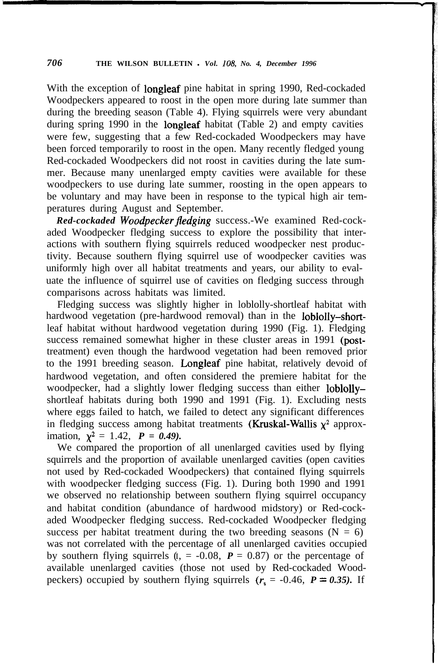With the exception of longleaf pine habitat in spring 1990, Red-cockaded Woodpeckers appeared to roost in the open more during late summer than during the breeding season (Table 4). Flying squirrels were very abundant during spring 1990 in the longleaf habitat (Table 2) and empty cavities were few, suggesting that a few Red-cockaded Woodpeckers may have been forced temporarily to roost in the open. Many recently fledged young Red-cockaded Woodpeckers did not roost in cavities during the late summer. Because many unenlarged empty cavities were available for these woodpeckers to use during late summer, roosting in the open appears to be voluntary and may have been in response to the typical high air temperatures during August and September.

*Red-cockaded Woodpecker fledging* success.-We examined Red-cockaded Woodpecker fledging success to explore the possibility that interactions with southern flying squirrels reduced woodpecker nest productivity. Because southern flying squirrel use of woodpecker cavities was uniformly high over all habitat treatments and years, our ability to evaluate the influence of squirrel use of cavities on fledging success through comparisons across habitats was limited.

Fledging success was slightly higher in loblolly-shortleaf habitat with hardwood vegetation (pre-hardwood removal) than in the loblolly-shortleaf habitat without hardwood vegetation during 1990 (Fig. 1). Fledging success remained somewhat higher in these cluster areas in 1991 (posttreatment) even though the hardwood vegetation had been removed prior to the 1991 breeding season. Longleaf pine habitat, relatively devoid of hardwood vegetation, and often considered the premiere habitat for the woodpecker, had a slightly lower fledging success than either loblollyshortleaf habitats during both 1990 and 1991 (Fig. 1). Excluding nests where eggs failed to hatch, we failed to detect any significant differences in fledging success among habitat treatments (Kruskal-Wallis  $\chi^2$  approximation,  $\chi^2 = 1.42$ ,  $P = 0.49$ ).

We compared the proportion of all unenlarged cavities used by flying squirrels and the proportion of available unenlarged cavities (open cavities not used by Red-cockaded Woodpeckers) that contained flying squirrels with woodpecker fledging success (Fig. 1). During both 1990 and 1991 we observed no relationship between southern flying squirrel occupancy and habitat condition (abundance of hardwood midstory) or Red-cockaded Woodpecker fledging success. Red-cockaded Woodpecker fledging success per habitat treatment during the two breeding seasons  $(N = 6)$ was not correlated with the percentage of all unenlarged cavities occupied by southern flying squirrels  $(I_1 = -0.08, P = 0.87)$  or the percentage of available unenlarged cavities (those not used by Red-cockaded Woodpeckers) occupied by southern flying squirrels  $(r<sub>s</sub> = -0.46, P = 0.35)$ . If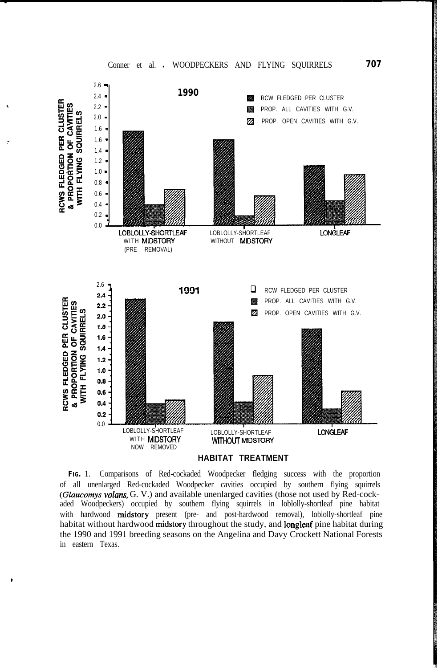

**FIG.** 1. Comparisons of Red-cockaded Woodpecker fledging success with the proportion of all unenlarged Red-cockaded Woodpecker cavities occupied by southern flying squirrels (Glaucomys volans, G. V.) and available unenlarged cavities (those not used by Red-cockaded Woodpeckers) occupied by southern flying squirrels in loblolly-shortleaf pine habitat with hardwood midstory present (pre- and post-hardwood removal), loblolly-shortleaf pine habitat without hardwood midstory throughout the study, and longleaf pine habitat during the 1990 and 1991 breeding seasons on the Angelina and Davy Crockett National Forests in eastern Texas.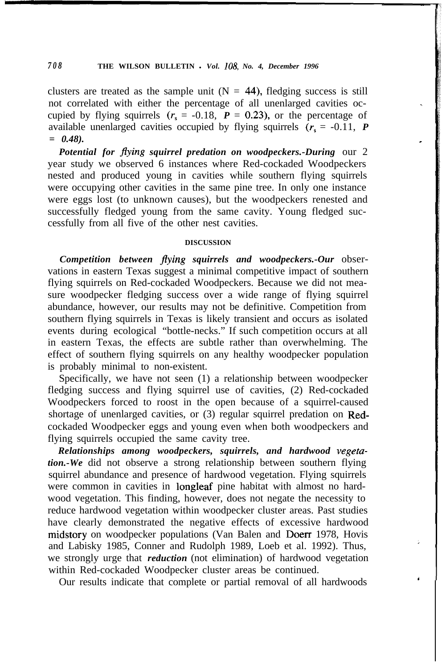clusters are treated as the sample unit ( $N = 44$ ), fledging success is still not correlated with either the percentage of all unenlarged cavities occupied by flying squirrels  $(r<sub>s</sub> = -0.18, P = 0.23)$ , or the percentage of available unenlarged cavities occupied by flying squirrels  $(r<sub>s</sub> = -0.11, P$ *= 0.48).*

*Potential for flying squirrel predation on woodpeckers.-During* our 2 year study we observed 6 instances where Red-cockaded Woodpeckers nested and produced young in cavities while southern flying squirrels were occupying other cavities in the same pine tree. In only one instance were eggs lost (to unknown causes), but the woodpeckers renested and successfully fledged young from the same cavity. Young fledged successfully from all five of the other nest cavities.

### **DISCUSSION**

*Competition between flying squirrels and woodpeckers.-Our* observations in eastern Texas suggest a minimal competitive impact of southern flying squirrels on Red-cockaded Woodpeckers. Because we did not measure woodpecker fledging success over a wide range of flying squirrel abundance, however, our results may not be definitive. Competition from southern flying squirrels in Texas is likely transient and occurs as isolated events during ecological "bottle-necks." If such competition occurs at all in eastern Texas, the effects are subtle rather than overwhelming. The effect of southern flying squirrels on any healthy woodpecker population is probably minimal to non-existent.

Specifically, we have not seen (1) a relationship between woodpecker fledging success and flying squirrel use of cavities, (2) Red-cockaded Woodpeckers forced to roost in the open because of a squirrel-caused shortage of unenlarged cavities, or (3) regular squirrel predation on Redcockaded Woodpecker eggs and young even when both woodpeckers and flying squirrels occupied the same cavity tree.

*Relationships among woodpeckers, squirrels, and hardwood vegetation.-We* did not observe a strong relationship between southern flying squirrel abundance and presence of hardwood vegetation. Flying squirrels were common in cavities in longleaf pine habitat with almost no hardwood vegetation. This finding, however, does not negate the necessity to reduce hardwood vegetation within woodpecker cluster areas. Past studies have clearly demonstrated the negative effects of excessive hardwood midstory on woodpecker populations (Van Balen and Doerr 1978, Hovis and Labisky 1985, Conner and Rudolph 1989, Loeb et al. 1992). Thus, we strongly urge that *reduction* (not elimination) of hardwood vegetation within Red-cockaded Woodpecker cluster areas be continued.

Our results indicate that complete or partial removal of all hardwoods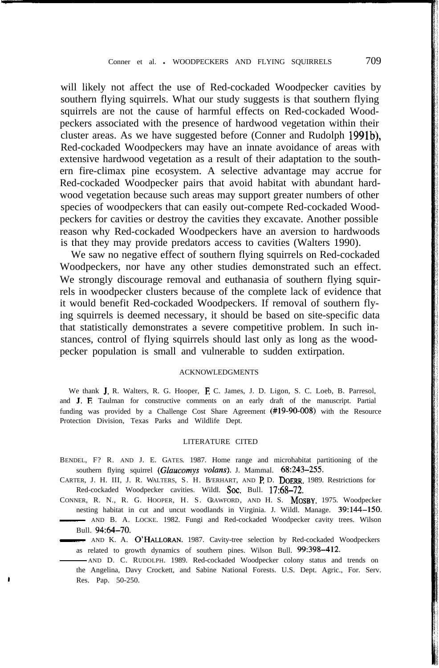will likely not affect the use of Red-cockaded Woodpecker cavities by southern flying squirrels. What our study suggests is that southern flying squirrels are not the cause of harmful effects on Red-cockaded Woodpeckers associated with the presence of hardwood vegetation within their cluster areas. As we have suggested before (Conner and Rudolph 1991b), Red-cockaded Woodpeckers may have an innate avoidance of areas with extensive hardwood vegetation as a result of their adaptation to the southern fire-climax pine ecosystem. A selective advantage may accrue for Red-cockaded Woodpecker pairs that avoid habitat with abundant hardwood vegetation because such areas may support greater numbers of other species of woodpeckers that can easily out-compete Red-cockaded Woodpeckers for cavities or destroy the cavities they excavate. Another possible reason why Red-cockaded Woodpeckers have an aversion to hardwoods is that they may provide predators access to cavities (Walters 1990).

We saw no negative effect of southern flying squirrels on Red-cockaded Woodpeckers, nor have any other studies demonstrated such an effect. We strongly discourage removal and euthanasia of southern flying squirrels in woodpecker clusters because of the complete lack of evidence that it would benefit Red-cockaded Woodpeckers. If removal of southern flying squirrels is deemed necessary, it should be based on site-specific data that statistically demonstrates a severe competitive problem. In such instances, control of flying squirrels should last only as long as the woodpecker population is small and vulnerable to sudden extirpation.

#### ACKNOWLEDGMENTS

We thank J. R. Walters, R. G. Hooper, F. C. James, J. D. Ligon, S. C. Loeb, B. Parresol, and J. E Taulman for constructive comments on an early draft of the manuscript. Partial funding was provided by a Challenge Cost Share Agreement (#19-90-008) with the Resource Protection Division, Texas Parks and Wildlife Dept.

#### LITERATURE CITED

- BENDEL, F? R. AND J. E. GATES. 1987. Home range and microhabitat partitioning of the southern flying squirrel (Glaucomys volans). J. Mammal. 68:243-255.
- CARTER, J. H. III, J. R. WALTERS, S. H. EVERHART, AND P. D. DOERR. 1989. Restrictions for Red-cockaded Woodpecker cavities. Wildl. Soc. Bull. 17:68-72.
- CONNER, R. N., R. G. HOOPER, H. S. CRAWFORD, AND H. S. MOSBY. 1975. Woodpecker nesting habitat in cut and uncut woodlands in Virginia. J. Wildl. Manage. 39:144-150. BENDEL, F? R. AND J. E. GATES. 1987. Home range and microhabitat partitioning of the southern flying squirrel (*Glaucomys volans*). J. Mammal. 68:243-255.<br>CARTER, J. H. III, J. R. WALTERS, S. H. EVERHART, AND P. D. DOERR. Bull. 94:64-70. CARTER, J. H. III, J. R. WALTERS, S. H. BERHART, AND P. D. DOERR. 1989. Restrictions for<br>
Red-cockaded Woodpecker cavities. Wildl. Soc. Bull. 17:68–72.<br>
CONNER, R. N., R. G. HOOPER, H. S. CRAWFORD, AND H. S. MOSBY, 1975. W
	- as related to growth dynamics of southern pines. Wilson Bull. 99:398-412.
	- AND D. C. RUDOLPH. 1989. Red-cockaded Woodpecker colony status and trends on the Angelina, Davy Crockett, and Sabine National Forests. U.S. Dept. Agric., For. Serv. Res. Pap. 50-250.

,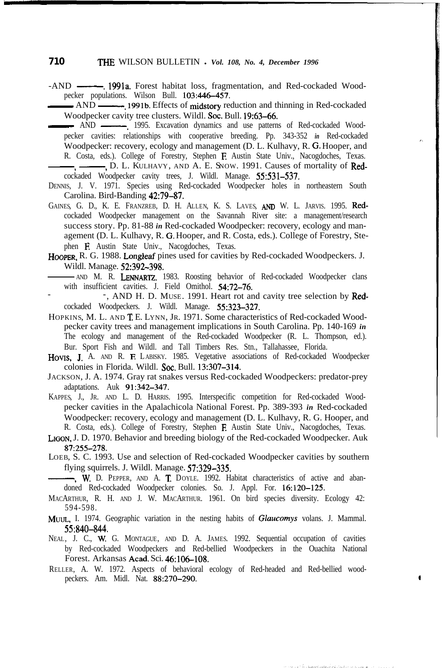### **710 THE** WILSON BULLETIN . Vol. 108, No. 4, December 1996

-AND -. 1991a. Forest habitat loss, fragmentation, and Red-cockaded Wood-- AND -.1991b. Effects of midstory reduction and thinning in Red-cockaded pecker populations. Wilson Bull. 103:446-457.

Woodpecker cavity tree clusters. Wildl. Soc. Bull. 19:63-66. - AND -. 1995. Excavation dynamics and use patterns of Red-cockaded Wood-

pecker cavities: relationships with cooperative breeding. Pp. 343-352 *in* Red-cockaded Woodpecker: recovery, ecology and management (D. L. Kulhavy, R. G. Hooper, and R. Costa, eds.). College of Forestry, Stephen **F.** Austin State Univ., Nacogdoches, Texas. pecker cavities: relationships with cooperative breeding. Pp. 343-352 in Red-cockadee<br>Woodpecker: recovery, ecology and management (D. L. Kulhavy, R. G. Hooper, and<br>R. Costa, eds.). College of Forestry, Stephen F. Austin S

cockaded Woodpecker cavity trees, J. Wildl. Manage. 55:531-537.

- DENNIS, J. V. 1971. Species using Red-cockaded Woodpecker holes in northeastern South Carolina. Bird-Banding 42:79-87.
- GAINES, G. D., K. E. FRANZREB, D. H. ALLEN, K. S. LAVES, AND W. L. JARVIS. 1995. Redcockaded Woodpecker management on the Savannah River site: a management/research success story. Pp. 81-88 *in* Red-cockaded Woodpecker: recovery, ecology and management (D. L. Kulhavy, R. G. Hooper, and R. Costa, eds.). College of Forestry, Stephen E Austin State Univ., Nacogdoches, Texas.
- HOOPER, R. G. 1988. Longleaf pines used for cavities by Red-cockaded Woodpeckers. J. Wildl. Manage. 52:392-398.
- AND M. R. LENNARTZ. 1983. Roosting behavior of Red-cockaded Woodpecker clans with insufficient cavities. J. Field Omithol. 54:72-76.
- -, AND H. D. MUSE. 1991. Heart rot and cavity tree selection by Redcockaded Woodpeckers. J. Wildl. Manage. 55:323-327.
- HOPKINS, M. L. AND T. E. LYNN, JR. 1971. Some characteristics of Red-cockaded Woodpecker cavity trees and management implications in South Carolina. Pp. 140-169 *in* The ecology and management of the Red-cockaded Woodpecker (R. L. Thompson, ed.). Bur. Sport Fish and Wildl. and Tall Timbers Res. Stn., Tallahassee, Florida.
- HOVIS, J. A. AND R. F. LABISKY. 1985. Vegetative associations of Red-cockaded Woodpecker colonies in Florida. Wildl. Soc. Bull. 13:307-314.
- JACKSON, J. A. 1974. Gray rat snakes versus Red-cockaded Woodpeckers: predator-prey adaptations. Auk 91:342-347.
- KAPPES, J., JR. AND L. D. HARRIS. 1995. Interspecific competition for Red-cockaded Woodpecker cavities in the Apalachicola National Forest. Pp. 389-393 *in* Red-cockaded Woodpecker: recovery, ecology and management (D. L. Kulhavy, R. G. Hooper, and R. Costa, eds.). College of Forestry, Stephen E Austin State Univ., Nacogdoches, Texas.
- LIGON, J. D. 1970. Behavior and breeding biology of the Red-cockaded Woodpecker. Auk 87:255-278.
- LOEB, S. C. 1993. Use and selection of Red-cockaded Woodpecker cavities by southern flying squirrels. J. Wildl. Manage. 57:329-335.

-, W. D. PEPPER, AND A. T. DOYLE. 1992. Habitat characteristics of active and abandoned Red-cockaded Woodpecker colonies. So. J. Appl. For. 16:120-125.

- MACARTHUR, R. H. AND J. W. MACARTHUR. 1961. On bird species diversity. Ecology 42: 594-598.
- MUUL, I. 1974. Geographic variation in the nesting habits of *Glaucomys* volans. J. Mammal. 55:840-844.
- NEAL, J. C., W. G. MONTAGUE, AND D. A. JAMES. 1992. Sequential occupation of cavities by Red-cockaded Woodpeckers and Red-bellied Woodpeckers in the Ouachita National Forest. Arkansas Acad. Sci. 46:106-108.
- RELLER, A. W. 1972. Aspects of behavioral ecology of Red-headed and Red-bellied woodpeckers. Am. Midl. Nat. 88:270-290.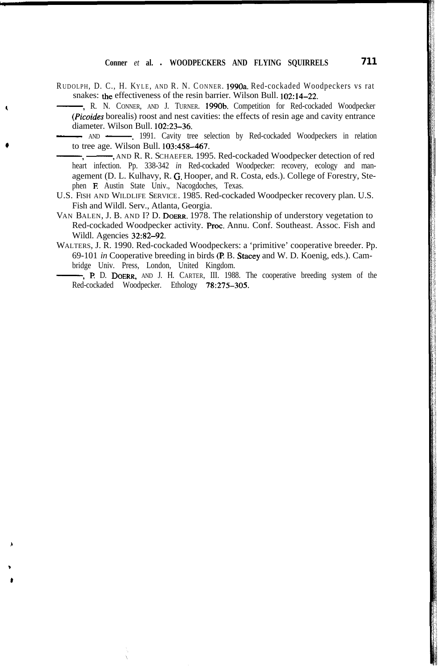RUDOLPH, D. C., H. KYLE, AND R. N. CONNER. 1990a. Red-cockaded Woodpeckers vs rat snakes: the effectiveness of the resin barrier. Wilson Bull. 102:14-22.

-, R. N. CONNER, AND J. TURNER. 1990b. Competition for Red-cockaded Woodpecker - AND -. 1991. Cavity tree selection by Red-cockaded Woodpeckers in relation (Picoides borealis) roost and nest cavities: the effects of resin age and cavity entrance diameter. Wilson Bull. 102:23-36.

to tree age. Wilson Bull. 103:458-467.<br>- The Conserver and R. R. Schaeffer and R. Red-cockaded Woodpecker detection of red -----, AND --------, 1991. Cavity tree selection by Red-cockaded Woodpeckers in relation o tree age. Wilson Bull. 103:458-467.<br>---, --------, AND R. R. SCHAEFER. 1995. Red-cockaded Woodpecker detection of red

- heart infection. Pp. 338-342 *in* Red-cockaded Woodpecker: recovery, ecology and management (D. L. Kulhavy, R. G. Hooper, and R. Costa, eds.). College of Forestry, Stephen E Austin State Univ., Nacogdoches, Texas.
- U.S. FISH AND WILDLIFE SERVICE. 1985. Red-cockaded Woodpecker recovery plan. U.S. Fish and Wildl. Serv., Atlanta, Georgia.
- VAN BALEN, J. B. AND I? D. DOERR. 1978. The relationship of understory vegetation to Red-cockaded Woodpecker activity. Proc. Annu. Conf. Southeast. Assoc. Fish and Wildl. Agencies 32:82-92.
- WALTERS, J. R. 1990. Red-cockaded Woodpeckers: a 'primitive' cooperative breeder. Pp.<br>69-101 *in* Cooperative breeding in birds (**P. B. Stacey** and W. D. Koenig, eds.). Cam-<br>bridge Univ. Press, London, United Kingdom.<br>**...** 69-101 *in* Cooperative breeding in birds (P. B. Stacey and W. D. Koenig, eds.). Cambridge Univ. Press, London, United Kingdom.

Red-cockaded Woodpecker. Ethology 78:275-305.